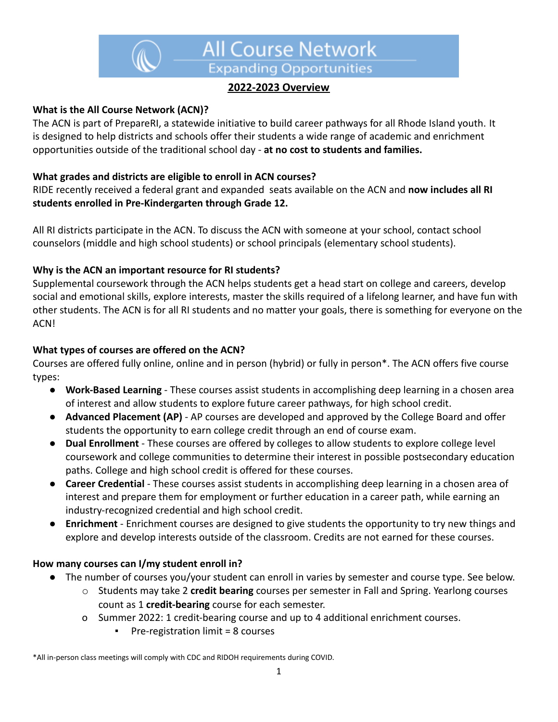

# **2022-2023 Overview**

## **What is the All Course Network (ACN)?**

The ACN is part of PrepareRI, a statewide initiative to build career pathways for all Rhode Island youth. It is designed to help districts and schools offer their students a wide range of academic and enrichment opportunities outside of the traditional school day - **at no cost to students and families.**

#### **What grades and districts are eligible to enroll in ACN courses?**

RIDE recently received a federal grant and expanded seats available on the ACN and **now includes all RI students enrolled in Pre-Kindergarten through Grade 12.**

All RI districts participate in the ACN. To discuss the ACN with someone at your school, contact school counselors (middle and high school students) or school principals (elementary school students).

#### **Why is the ACN an important resource for RI students?**

Supplemental coursework through the ACN helps students get a head start on college and careers, develop social and emotional skills, explore interests, master the skills required of a lifelong learner, and have fun with other students. The ACN is for all RI students and no matter your goals, there is something for everyone on the ACN!

#### **What types of courses are offered on the ACN?**

Courses are offered fully online, online and in person (hybrid) or fully in person\*. The ACN offers five course types:

- **Work-Based Learning** These courses assist students in accomplishing deep learning in a chosen area of interest and allow students to explore future career pathways, for high school credit.
- **Advanced Placement (AP)** AP courses are developed and approved by the College Board and offer students the opportunity to earn college credit through an end of course exam.
- **Dual Enrollment** These courses are offered by colleges to allow students to explore college level coursework and college communities to determine their interest in possible postsecondary education paths. College and high school credit is offered for these courses.
- **Career Credential** These courses assist students in accomplishing deep learning in a chosen area of interest and prepare them for employment or further education in a career path, while earning an industry-recognized credential and high school credit.
- **Enrichment** Enrichment courses are designed to give students the opportunity to try new things and explore and develop interests outside of the classroom. Credits are not earned for these courses.

#### **How many courses can I/my student enroll in?**

- The number of courses you/your student can enroll in varies by semester and course type. See below.
	- o Students may take 2 **credit bearing** courses per semester in Fall and Spring. Yearlong courses count as 1 **credit-bearing** course for each semester.
	- o Summer 2022: 1 credit-bearing course and up to 4 additional enrichment courses.
		- Pre-registration limit = 8 courses

\*All in-person class meetings will comply with CDC and RIDOH requirements during COVID.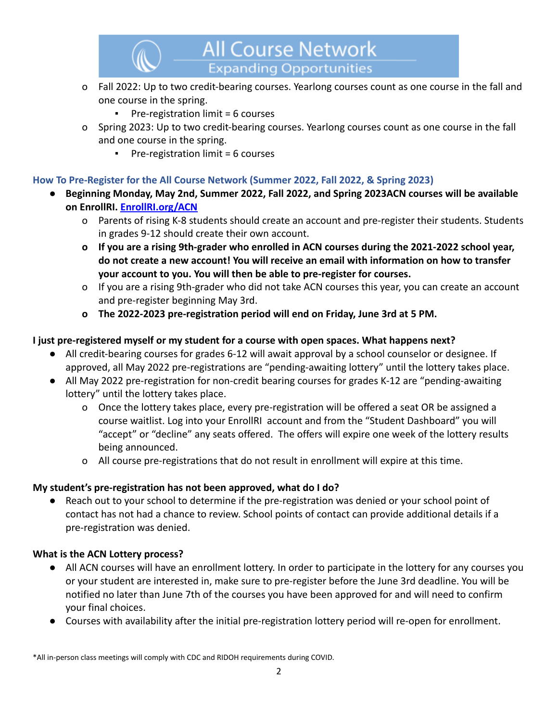

- o Fall 2022: Up to two credit-bearing courses. Yearlong courses count as one course in the fall and one course in the spring.
	- Pre-registration limit = 6 courses
- o Spring 2023: Up to two credit-bearing courses. Yearlong courses count as one course in the fall and one course in the spring.
	- Pre-registration limit = 6 courses

## **How To Pre-Register for the All Course Network (Summer 2022, Fall 2022, & Spring 2023)**

- **● Beginning Monday, May 2nd, Summer 2022, Fall 2022, and Spring 2023ACN courses will be available on EnrollRI. [EnrollRI.org/ACN](http://enrollri.org/ACN)**
	- o Parents of rising K-8 students should create an account and pre-register their students. Students in grades 9-12 should create their own account.
	- **o If you are a rising 9th-grader who enrolled in ACN courses during the 2021-2022 school year, do not create a new account! You will receive an email with information on how to transfer your account to you. You will then be able to pre-register for courses.**
	- o If you are a rising 9th-grader who did not take ACN courses this year, you can create an account and pre-register beginning May 3rd.
	- **o The 2022-2023 pre-registration period will end on Friday, June 3rd at 5 PM.**

## **I just pre-registered myself or my student for a course with open spaces. What happens next?**

- All credit-bearing courses for grades 6-12 will await approval by a school counselor or designee. If approved, all May 2022 pre-registrations are "pending-awaiting lottery" until the lottery takes place.
- All May 2022 pre-registration for non-credit bearing courses for grades K-12 are "pending-awaiting lottery" until the lottery takes place.
	- o Once the lottery takes place, every pre-registration will be offered a seat OR be assigned a course waitlist. Log into your EnrollRI account and from the "Student Dashboard" you will "accept" or "decline" any seats offered. The offers will expire one week of the lottery results being announced.
	- o All course pre-registrations that do not result in enrollment will expire at this time.

## **My student's pre-registration has not been approved, what do I do?**

Reach out to your school to determine if the pre-registration was denied or your school point of contact has not had a chance to review. School points of contact can provide additional details if a pre-registration was denied.

## **What is the ACN Lottery process?**

- All ACN courses will have an enrollment lottery. In order to participate in the lottery for any courses you or your student are interested in, make sure to pre-register before the June 3rd deadline. You will be notified no later than June 7th of the courses you have been approved for and will need to confirm your final choices.
- Courses with availability after the initial pre-registration lottery period will re-open for enrollment.

\*All in-person class meetings will comply with CDC and RIDOH requirements during COVID.